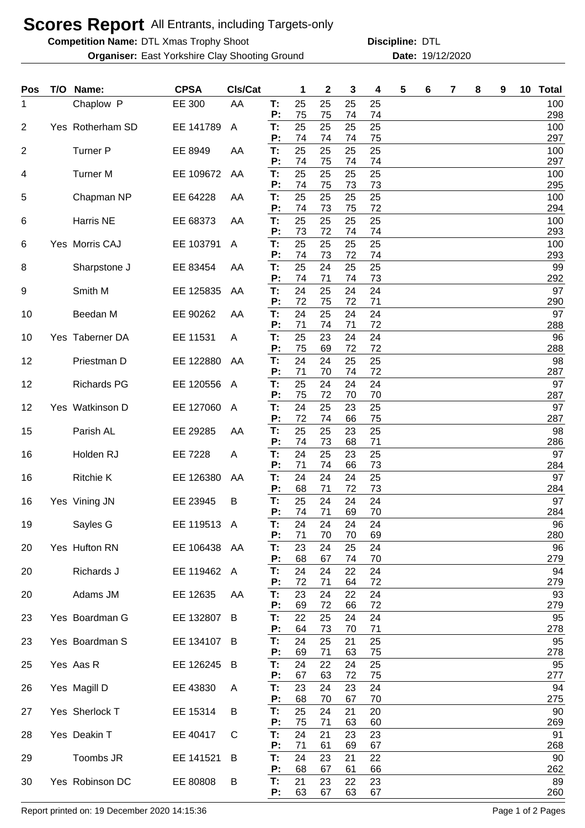## **Scores Report** All Entrants, including Targets-only

**Competition Name:** DTL Xmas Trophy Shoot **Disculpensies Construct Construct** DTL

**Organiser:** East Yorkshire Clay Shooting Ground **19/12/2020** Date: 19/12/2020

**Discipline:**

| Pos            | T/O Name:          | <b>CPSA</b>  | CIs/Cat      |          | 1        | 2        | 3        | 4        | 5 | 6 | 7 | 8 | 9 | 10 | <b>Total</b> |
|----------------|--------------------|--------------|--------------|----------|----------|----------|----------|----------|---|---|---|---|---|----|--------------|
| 1              | Chaplow P          | EE 300       | AA           | T:<br>P: | 25<br>75 | 25<br>75 | 25<br>74 | 25<br>74 |   |   |   |   |   |    | 100<br>298   |
| $\overline{2}$ | Yes Rotherham SD   | EE 141789    | $\mathsf{A}$ | T:<br>P: | 25<br>74 | 25<br>74 | 25<br>74 | 25<br>75 |   |   |   |   |   |    | 100<br>297   |
| $\overline{2}$ | <b>Turner P</b>    | EE 8949      | AA           | T:       | 25       | 25       | 25       | 25       |   |   |   |   |   |    | 100          |
| 4              | <b>Turner M</b>    | EE 109672    | AA           | P:<br>T: | 74<br>25 | 75<br>25 | 74<br>25 | 74<br>25 |   |   |   |   |   |    | 297<br>100   |
| 5              | Chapman NP         | EE 64228     | AA           | P:<br>T: | 74<br>25 | 75<br>25 | 73<br>25 | 73<br>25 |   |   |   |   |   |    | 295<br>100   |
|                |                    |              |              | P:       | 74       | 73       | 75       | 72       |   |   |   |   |   |    | 294          |
| 6              | Harris NE          | EE 68373     | AA           | T:<br>P: | 25<br>73 | 25<br>72 | 25<br>74 | 25<br>74 |   |   |   |   |   |    | 100<br>293   |
| 6              | Yes Morris CAJ     | EE 103791    | A            | T:<br>P: | 25<br>74 | 25<br>73 | 25<br>72 | 25<br>74 |   |   |   |   |   |    | 100<br>293   |
| 8              | Sharpstone J       | EE 83454     | AA           | T:<br>P: | 25<br>74 | 24<br>71 | 25<br>74 | 25<br>73 |   |   |   |   |   |    | 99<br>292    |
| 9              | Smith M            | EE 125835    | AA           | Т:       | 24       | 25       | 24       | 24       |   |   |   |   |   |    | 97           |
| 10             | Beedan M           | EE 90262     | AA           | P:<br>T: | 72<br>24 | 75<br>25 | 72<br>24 | 71<br>24 |   |   |   |   |   |    | 290<br>97    |
| 10             | Yes Taberner DA    | EE 11531     | A            | P:<br>Т: | 71<br>25 | 74<br>23 | 71<br>24 | 72<br>24 |   |   |   |   |   |    | 288<br>96    |
|                |                    |              |              | P:<br>T: | 75<br>24 | 69<br>24 | 72<br>25 | 72<br>25 |   |   |   |   |   |    | 288<br>98    |
| 12             | Priestman D        | EE 122880    | AA           | P:       | 71       | 70       | 74       | 72       |   |   |   |   |   |    | 287          |
| 12             | <b>Richards PG</b> | EE 120556    | A            | T:<br>P: | 25<br>75 | 24<br>72 | 24<br>70 | 24<br>70 |   |   |   |   |   |    | 97<br>287    |
| 12             | Yes Watkinson D    | EE 127060    | A            | T:<br>P: | 24<br>72 | 25<br>74 | 23<br>66 | 25<br>75 |   |   |   |   |   |    | 97<br>287    |
| 15             | Parish AL          | EE 29285     | AA           | T:       | 25       | 25       | 23       | 25       |   |   |   |   |   |    | 98           |
| 16             | Holden RJ          | EE 7228      | A            | P:<br>T: | 74<br>24 | 73<br>25 | 68<br>23 | 71<br>25 |   |   |   |   |   |    | 286<br>97    |
| 16             | <b>Ritchie K</b>   | EE 126380    | AA           | P:<br>Т: | 71<br>24 | 74<br>24 | 66<br>24 | 73<br>25 |   |   |   |   |   |    | 284<br>97    |
| 16             | Yes Vining JN      | EE 23945     | B            | P:<br>T: | 68<br>25 | 71<br>24 | 72<br>24 | 73<br>24 |   |   |   |   |   |    | 284<br>97    |
|                |                    |              |              | P:       | 74       | 71       | 69       | 70       |   |   |   |   |   |    | 284          |
| 19             | Sayles G           | EE 119513 A  |              | Т:<br>P: | 24<br>71 | 24<br>70 | 24<br>70 | 24<br>69 |   |   |   |   |   |    | 96<br>280    |
| 20             | Yes Hufton RN      | EE 106438 AA |              | Т.<br>P: | 23<br>68 | 24<br>67 | 25<br>74 | 24<br>70 |   |   |   |   |   |    | 96<br>279    |
| 20             | Richards J         | EE 119462    | A            | Т.<br>P: | 24<br>72 | 24<br>71 | 22<br>64 | 24<br>72 |   |   |   |   |   |    | 94<br>279    |
| 20             | Adams JM           | EE 12635     | AA           | T:       | 23       | 24       | 22       | 24       |   |   |   |   |   |    | 93           |
| 23             | Yes Boardman G     | EE 132807    | B            | P:<br>T: | 69<br>22 | 72<br>25 | 66<br>24 | 72<br>24 |   |   |   |   |   |    | 279<br>95    |
| 23             | Yes Boardman S     | EE 134107    | B            | P:<br>T: | 64<br>24 | 73<br>25 | 70<br>21 | 71<br>25 |   |   |   |   |   |    | 278<br>95    |
|                |                    |              |              | P:       | 69       | 71       | 63       | 75       |   |   |   |   |   |    | 278          |
| 25             | Yes Aas R          | EE 126245    | B            | T:<br>P: | 24<br>67 | 22<br>63 | 24<br>72 | 25<br>75 |   |   |   |   |   |    | 95<br>277    |
| 26             | Yes Magill D       | EE 43830     | A            | T:<br>P: | 23<br>68 | 24<br>70 | 23<br>67 | 24<br>70 |   |   |   |   |   |    | 94<br>275    |
| 27             | Yes Sherlock T     | EE 15314     | B            | T:<br>P: | 25<br>75 | 24<br>71 | 21<br>63 | 20<br>60 |   |   |   |   |   |    | 90<br>269    |
| 28             | Yes Deakin T       | EE 40417     | C            | T:       | 24       | 21       | 23       | 23       |   |   |   |   |   |    | 91           |
| 29             | Toombs JR          | EE 141521    | B            | P:<br>T: | 71<br>24 | 61<br>23 | 69<br>21 | 67<br>22 |   |   |   |   |   |    | 268<br>90    |
| 30             | Yes Robinson DC    | EE 80808     | B            | P:<br>T: | 68<br>21 | 67<br>23 | 61<br>22 | 66<br>23 |   |   |   |   |   |    | 262<br>89    |
|                |                    |              |              | P:       | 63       | 67       | 63       | 67       |   |   |   |   |   |    | 260          |

Report printed on: 19 December 2020 14:15:36 Page 1 of 2 Pages